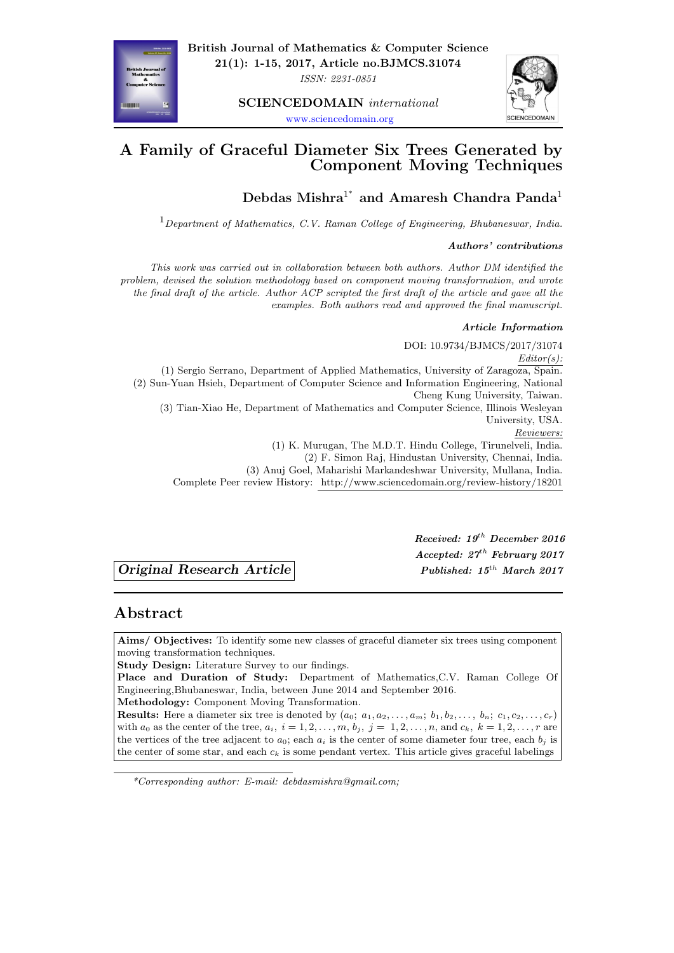**21(1): 1-15, 2017, Article no.BJMCS.31074** *ISSN: 2231-0851*

**SCIENCEDOMAIN** *international*



www.sciencedomain.org

## **A Family of Graceful Diameter Six Trees Generated by [Componen](www.sciencedomain.org)t Moving Techniques**

**Debdas Mishra**<sup>1</sup> *∗* **and Amaresh Chandra Panda**<sup>1</sup>

<sup>1</sup>*Department of Mathematics, C.V. Raman College of Engineering, Bhubaneswar, India.*

#### *Authors' contributions*

*This work was carried out in collaboration between both authors. Author DM identified the problem, devised the solution methodology based on component moving transformation, and wrote the final draft of the article. Author ACP scripted the first draft of the article and gave all the examples. Both authors read and approved the final manuscript.*

#### *Article Information*

DOI: 10.9734/BJMCS/2017/31074 *Editor(s):* (1) Sergio Serrano, Department of Applied Mathematics, University of Zaragoza, Spain. (2) Sun-Yuan Hsieh, Department of Computer Science and Information Engineering, National Cheng Kung University, Taiwan. (3) Tian-Xiao He, Department of Mathematics and Computer Science, Illinois Wesleyan University, USA. *Reviewers:* (1) K. Murugan, The M.D.T. Hindu College, Tirunelveli, India. (2) F. Simon Raj, Hindustan University, Chennai, India. (3) Anuj Goel, Maharishi Markandeshwar University, Mullana, India. Complete Peer review History: http://www.sciencedomain.org/review-history/18201

*Original Research Article Published: 15th March 2017*

*Received: 19th [December 2016](http://www.sciencedomain.org/review-history/18201) Accepted: 27th February 2017*

## **Abstract**

**Aims/ Objectives:** To identify some new classes of graceful diameter six trees using component moving transformation techniques.

**Study Design:** Literature Survey to our findings.

**Place and Duration of Study:** Department of Mathematics,C.V. Raman College Of Engineering,Bhubaneswar, India, between June 2014 and September 2016. **Methodology:** Component Moving Transformation.

**Results:** Here a diameter six tree is denoted by  $(a_0; a_1, a_2, \ldots, a_m; b_1, b_2, \ldots, b_n; c_1, c_2, \ldots, c_r)$ with  $a_0$  as the center of the tree,  $a_i$ ,  $i = 1, 2, ..., m$ ,  $b_j$ ,  $j = 1, 2, ..., n$ , and  $c_k$ ,  $k = 1, 2, ..., r$  are the vertices of the tree adjacent to  $a_0$ ; each  $a_i$  is the center of some diameter four tree, each  $b_j$  is the center of some star, and each  $c_k$  is some pendant vertex. This article gives graceful labelings



*<sup>\*</sup>Corresponding author: E-mail: debdasmishra@gmail.com;*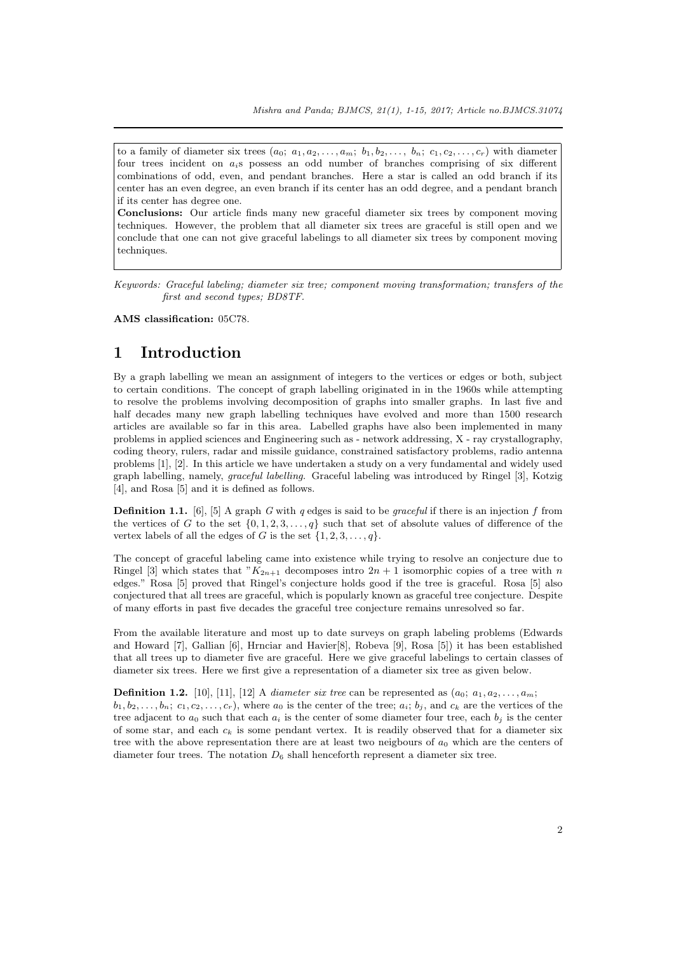to a family of diameter six trees  $(a_0; a_1, a_2, \ldots, a_m; b_1, b_2, \ldots, b_n; c_1, c_2, \ldots, c_r)$  with diameter four trees incident on *ai*s possess an odd number of branches comprising of six different combinations of odd, even, and pendant branches. Here a star is called an odd branch if its center has an even degree, an even branch if its center has an odd degree, and a pendant branch if its center has degree one.

**Conclusions:** Our article finds many new graceful diameter six trees by component moving techniques. However, the problem that all diameter six trees are graceful is still open and we conclude that one can not give graceful labelings to all diameter six trees by component moving techniques.

*Keywords: Graceful labeling; diameter six tree; component moving transformation; transfers of the first and second types; BD8TF.*

**AMS classification:** 05C78.

#### **1 Introduction**

By a graph labelling we mean an assignment of integers to the vertices or edges or both, subject to certain conditions. The concept of graph labelling originated in in the 1960s while attempting to resolve the problems involving decomposition of graphs into smaller graphs. In last five and half decades many new graph labelling techniques have evolved and more than 1500 research articles are available so far in this area. Labelled graphs have also been implemented in many problems in applied sciences and Engineering such as - network addressing, X - ray crystallography, coding theory, rulers, radar and missile guidance, constrained satisfactory problems, radio antenna problems [1], [2]. In this article we have undertaken a study on a very fundamental and widely used graph labelling, namely, *graceful labelling*. Graceful labeling was introduced by Ringel [3], Kotzig [4], and Rosa [5] and it is defined as follows.

**Definition 1.1.** [6], [5] A graph *G* with *q* edges is said to be *graceful* if there is an injection *f* from the vertic[es](#page-13-0) o[f](#page-13-1) *G* to the set  $\{0, 1, 2, 3, \ldots, q\}$  such that set of absolute values of difference of the vertex labels of all the edges of *G* is the set  $\{1, 2, 3, \ldots, q\}$ .

The concept of graceful labeling came into existence while trying to resolve an conjecture due to Ringel [3] which [sta](#page-13-2)t[es](#page-13-3) that " $K_{2n+1}$  decomposes intro  $2n+1$  isomorphic copies of a tree with *n* edges." Rosa [5] proved that Ringel's conjecture holds good if the tree is graceful. Rosa [5] also conjectured that all trees are graceful, which is popularly known as graceful tree conjecture. Despite of many efforts in past five decades the graceful tree conjecture remains unresolved so far.

From t[he](#page-13-4) available literature and most up to date surveys on graph labeling problems (Edwards and Howard [[7\]](#page-13-3), Gallian [6], Hrnciar and Havier[8], Robeva [9], Rosa [5]) it has been esta[bl](#page-13-3)ished that all trees up to diameter five are graceful. Here we give graceful labelings to certain classes of diameter six trees. Here we first give a representation of a diameter six tree as given below.

**Definition 1.2.** [10], [11], [12] A *diameter six tree* can be represented as  $(a_0; a_1, a_2, \ldots, a_m;$  $b_1, b_2, \ldots, b_n$ ;  $c_1, c_2, \ldots, c_r$  $c_1, c_2, \ldots, c_r$  $c_1, c_2, \ldots, c_r$ [\),](#page-13-2) where  $a_0$  $a_0$  is the center of the tree;  $a_i$ ;  $b_j$ , a[nd](#page-13-3)  $c_k$  are the vertices of the tree adjacent to  $a_0$  such that each  $a_i$  is the center of some diameter four tree, each  $b_j$  is the center of some star, and each  $c_k$  is some pendant vertex. It is readily observed that for a diameter six tree with the above representation there are at least two neigbours of *a*<sup>0</sup> which are the centers of diameter four tree[s.](#page-14-1) T[he n](#page-14-2)o[tat](#page-14-3)ion  $D_6$  shall henceforth represent a diameter six tree.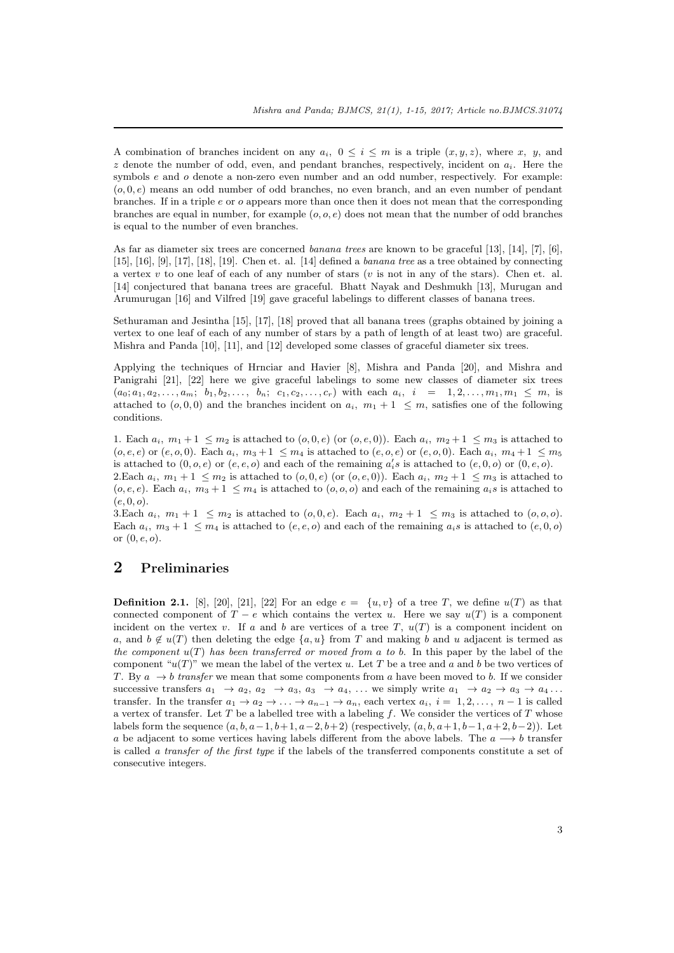A combination of branches incident on any  $a_i$ ,  $0 \leq i \leq m$  is a triple  $(x, y, z)$ , where x, y, and *z* denote the number of odd, even, and pendant branches, respectively, incident on *ai*. Here the symbols *e* and *o* denote a non-zero even number and an odd number, respectively. For example: (*o,* 0*, e*) means an odd number of odd branches, no even branch, and an even number of pendant branches. If in a triple *e* or *o* appears more than once then it does not mean that the corresponding branches are equal in number, for example (*o, o, e*) does not mean that the number of odd branches is equal to the number of even branches.

As far as diameter six trees are concerned *banana trees* are known to be graceful [13], [14], [7], [6], [15], [16], [9], [17], [18], [19]. Chen et. al. [14] defined a *banana tree* as a tree obtained by connecting a vertex *v* to one leaf of each of any number of stars (*v* is not in any of the stars). Chen et. al. [14] conjectured that banana trees are graceful. Bhatt Nayak and Deshmukh [13], Murugan and Arumurugan [16] and Vilfred [19] gave graceful labelings to different classes of ba[nan](#page-14-4)a [tre](#page-14-5)es[.](#page-13-5)

[Set](#page-14-6)h[uram](#page-14-7)[an](#page-14-0) a[nd](#page-14-8) J[esin](#page-14-9)t[ha](#page-14-10) [15], [17], [18] p[rov](#page-14-5)ed that all banana trees (graphs obtained by joining a vertex to one leaf of each of any number of stars by a path of length of at least two) are graceful. [Mis](#page-14-5)hra and Panda [10], [11], and [12] developed some classes of graceful diamet[er s](#page-14-4)ix trees.

Applying the techniques of Hrnciar and Havier [8], Mishra and Panda [20], and Mishra and Panigrahi [21], [22] here [we](#page-14-6) g[ive](#page-14-8) g[rac](#page-14-9)eful labelings to some new classes of diameter six trees  $(a_0; a_1, a_2, \ldots, a_m; b_1, b_2, \ldots, b_n; c_1, c_2, \ldots, c_r)$  with each  $a_i, i = 1, 2, \ldots, m_1, m_1 \leq m$ , is atta[che](#page-14-3)d to  $(o, 0, 0)$  [an](#page-14-1)d [th](#page-14-2)e branches incident on  $a_i$ ,  $m_1 + 1 \leq m$ , satisfies one of the following conditions.

1. Each  $a_i$ ,  $m_1 + 1 \leq m_2$  $m_1 + 1 \leq m_2$  $m_1 + 1 \leq m_2$  is attached to  $(o, 0, e)$  (or  $(o, e, 0)$ ). Each  $a_i$ ,  $m_2 + 1 \leq m_3$  $m_2 + 1 \leq m_3$  $m_2 + 1 \leq m_3$  is attached to  $(o, e, e)$  or  $(e, o, 0)$ . Each  $a_i$ ,  $m_3 + 1 \le m_4$  is attached to  $(e, o, e)$  or  $(e, o, 0)$ . Each  $a_i$ ,  $m_4 + 1 \le m_5$ is attached to  $(0, o, e)$  or  $(e, e, o)$  and each of the remaining  $a_i$ 's is attached to  $(e, 0, o)$  or  $(0, e, o)$ . 2.Each  $a_i$ ,  $m_1 + 1 \leq m_2$  is attached to  $(o, 0, e)$  (or  $(o, e, 0)$ ). Each  $a_i$ ,  $m_2 + 1 \leq m_3$  is attached to  $(o, e, e)$ . Each  $a_i$ ,  $m_3 + 1 \leq m_4$  is attached to  $(o, o, o)$  and each of the remaining  $a_i s$  is attached to  $(e, 0, o).$ 

3. Each  $a_i$ ,  $m_1 + 1 \leq m_2$  is attached to  $(o, 0, e)$ . Each  $a_i$ ,  $m_2 + 1 \leq m_3$  is attached to  $(o, o, o)$ . Each  $a_i$ ,  $m_3 + 1 \leq m_4$  is attached to  $(e, e, o)$  and each of the remaining  $a_i s$  is attached to  $(e, 0, o)$ or (0*, e, o*).

#### **2 Preliminaries**

**Definition 2.1.** [8], [20], [21], [22] For an edge  $e = \{u, v\}$  of a tree *T*, we define  $u(T)$  as that connected component of  $T - e$  which contains the vertex *u*. Here we say  $u(T)$  is a component incident on the vertex *v*. If *a* and *b* are vertices of a tree *T*,  $u(T)$  is a component incident on *a*, and  $b \notin u(T)$  then deleting the edge  $\{a, u\}$  from *T* and making *b* and *u* adjacent is termed as *the component u*(*T*) *has been transferred or moved from a to b*. In this paper by the label of the component " $u(T)$ [" w](#page-13-6)e [me](#page-14-13)a[n th](#page-14-11)e l[ab](#page-14-12)el of the vertex  $u$ . Let  $T$  be a tree and  $a$  and  $b$  be two vertices of *T*. By  $a \rightarrow b$  *transfer* we mean that some components from *a* have been moved to *b*. If we consider successive transfers  $a_1 \rightarrow a_2, a_2 \rightarrow a_3, a_3 \rightarrow a_4, \ldots$  we simply write  $a_1 \rightarrow a_2 \rightarrow a_3 \rightarrow a_4 \ldots$ transfer. In the transfer  $a_1 \rightarrow a_2 \rightarrow \ldots \rightarrow a_{n-1} \rightarrow a_n$ , each vertex  $a_i$ ,  $i = 1, 2, \ldots, n-1$  is called a vertex of transfer. Let *T* be a labelled tree with a labeling *f*. We consider the vertices of *T* whose labels form the sequence  $(a, b, a-1, b+1, a-2, b+2)$  (respectively,  $(a, b, a+1, b-1, a+2, b-2)$ ). Let *a* be adjacent to some vertices having labels different from the above labels. The  $a \rightarrow b$  transfer is called *a transfer of the first type* if the labels of the transferred components constitute a set of consecutive integers.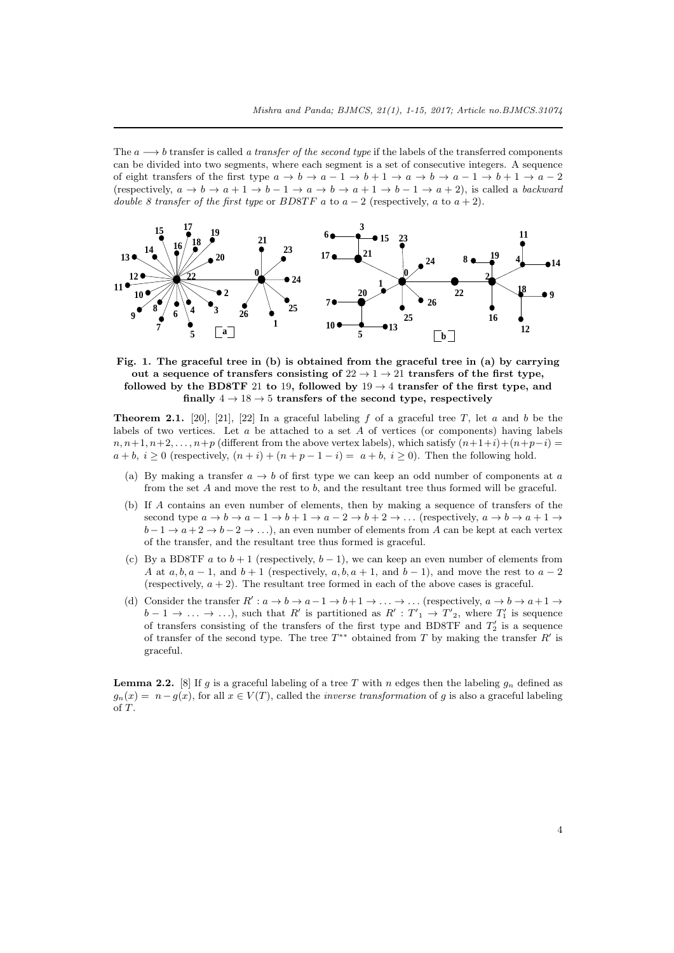The *a −→ b* transfer is called *a transfer of the second type* if the labels of the transferred components can be divided into two segments, where each segment is a set of consecutive integers. A sequence of eight transfers of the first type  $a \to b \to a-1 \to b+1 \to a \to b \to a-1 \to b+1 \to a-2$ (respectively,  $a \to b \to a+1 \to b-1 \to a \to b \to a+1 \to b-1 \to a+2$ ), is called a *backward double 8 transfer of the first type* or *BD8TF*  $a$  to  $a - 2$  (respectively,  $a$  to  $a + 2$ ).



**Fig. 1. The graceful tree in (b) is obtained from the graceful tree in (a) by carrying** out a sequence of transfers consisting of  $22 \rightarrow 1 \rightarrow 21$  transfers of the first type, **followed by the BD8TF** 21 **to** 19, **followed by**  $19 \rightarrow 4$  **transfer of the first type, and** finally  $4 \rightarrow 18 \rightarrow 5$  transfers of the second type, respectively

**Theorem 2.1.** [20], [21], [22] In a graceful labeling  $f$  of a graceful tree  $T$ , let  $a$  and  $b$  be the labels of two vertices. Let *a* be attached to a set *A* of vertices (or components) having labels  $n, n+1, n+2, \ldots, n+p$  (different from the above vertex labels), which satisfy  $(n+1+i)+(n+p-i)$  $a + b, i \geq 0$  (respectively,  $(n + i) + (n + p - 1 - i) = a + b, i \geq 0$ ). Then the following hold.

- <span id="page-3-0"></span>(a) By makin[g a](#page-14-13) tr[ans](#page-14-11)fer  $a \rightarrow b$  $a \rightarrow b$  of first type we can keep an odd number of components at *a* from the set *A* and move the rest to *b*, and the resultant tree thus formed will be graceful.
- (b) If *A* contains an even number of elements, then by making a sequence of transfers of the second type  $a \to b \to a-1 \to b+1 \to a-2 \to b+2 \to \dots$  (respectively,  $a \to b \to a+1 \to a$ *b* − 1 → *a* + 2 → *b* − 2 → ...), an even number of elements from *A* can be kept at each vertex of the transfer, and the resultant tree thus formed is graceful.
- (c) By a BD8TF  $a$  to  $b+1$  (respectively,  $b-1$ ), we can keep an even number of elements from *A* at *a, b, a* − 1, and *b* + 1 (respectively, *a, b, a* + 1, and *b* − 1), and move the rest to *a* − 2 (respectively,  $a + 2$ ). The resultant tree formed in each of the above cases is graceful.
- (d) Consider the transfer  $R': a \to b \to a-1 \to b+1 \to \ldots \to \ldots$  (respectively,  $a \to b \to a+1 \to a$  $b-1 \rightarrow \ldots \rightarrow \ldots$ , such that *R'* is partitioned as  $R' : T'_{1} \rightarrow T'_{2}$ , where  $T'_{1}$  is sequence of transfers consisting of the transfers of the first type and BD8TF and *T ′* <sup>2</sup> is a sequence of transfer of the second type. The tree *T ∗∗* obtained from *T* by making the transfer *R ′* is graceful.

<span id="page-3-1"></span>**Lemma 2.2.** [8] If *g* is a graceful labeling of a tree *T* with *n* edges then the labeling  $g_n$  defined as  $g_n(x) = n - g(x)$ , for all  $x \in V(T)$ , called the *inverse transformation* of *g* is also a graceful labeling of *T*.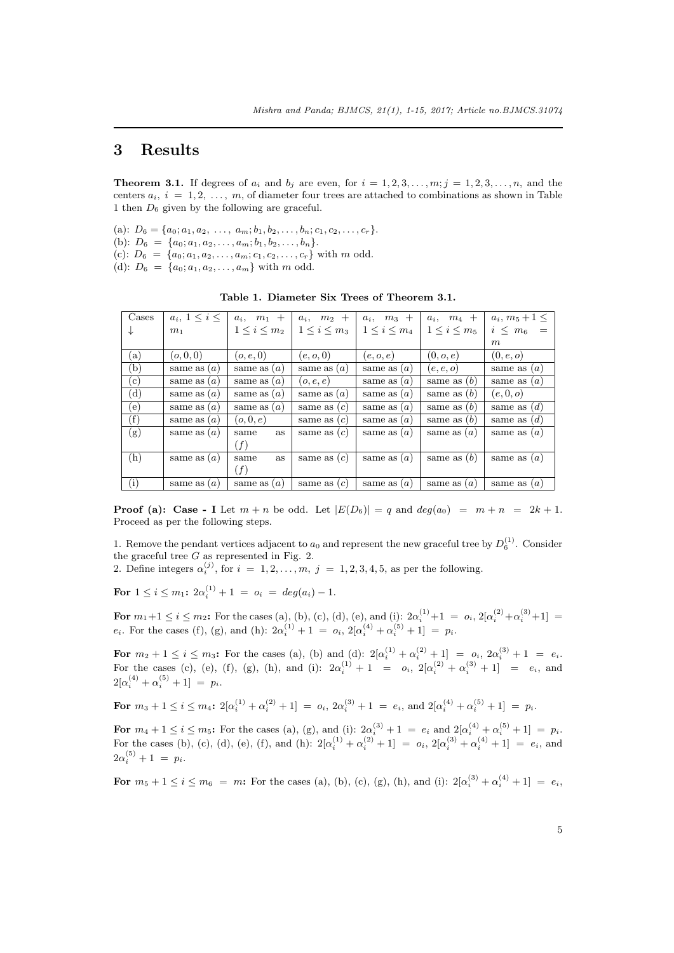## **3 Results**

**Theorem 3.1.** If degrees of  $a_i$  and  $b_j$  are even, for  $i = 1, 2, 3, \ldots, m; j = 1, 2, 3, \ldots, n$ , and the centers  $a_i$ ,  $i = 1, 2, \ldots, m$ , of diameter four trees are attached to combinations as shown in Table 1 then *D*<sup>6</sup> given by the following are graceful.

<span id="page-4-0"></span>(a):  $D_6 = \{a_0; a_1, a_2, \ldots, a_m; b_1, b_2, \ldots, b_n; c_1, c_2, \ldots, c_r\}.$ (b):  $D_6 = \{a_0; a_1, a_2, \ldots, a_m; b_1, b_2, \ldots, b_n\}.$ (c):  $D_6 = \{a_0; a_1, a_2, \ldots, a_m; c_1, c_2, \ldots, c_r\}$  with *m* odd. (d):  $D_6 = \{a_0; a_1, a_2, \ldots, a_m\}$  with *m* odd.

**Table 1. Diameter Six Trees of Theorem 3.1.**

| Cases            | $a_i, 1 \leq i \leq$ | $a_i$ , $m_1$ +     | $a_i$ , $m_2$ +   | $a_i$ , $m_3$ +   | $a_i$ , $m_4$ +     | $a_i, m_5 + 1 \leq$ |
|------------------|----------------------|---------------------|-------------------|-------------------|---------------------|---------------------|
| ↓                | m <sub>1</sub>       | $1 \leq i \leq m_2$ | $1 \le i \le m_3$ | $1 \le i \le m_4$ | $1 \leq i \leq m_5$ | $i \leq m_6 =$      |
|                  |                      |                     |                   |                   |                     | m                   |
| $\left(a\right)$ | (o, 0, 0)            | (o, e, 0)           | (e, o, 0)         | (e, o, e)         | (0, o, e)           | (0, e, o)           |
| (b)              | same as $(a)$        | same as $(a)$       | same as $(a)$     | same as $(a)$     | (e, e, o)           | same as $(a)$       |
| $\rm(c)$         | same as $(a)$        | same as $(a)$       | (o,e,e)           | same as $(a)$     | same as $(b)$       | same as $(a)$       |
| $(\mathrm{d})$   | same as $(a)$        | same as $(a)$       | same as $(a)$     | same as $(a)$     | same as $(b)$       | (e,0,o)             |
| (e)              | same as $(a)$        | same as $(a)$       | same as $(c)$     | same as $(a)$     | same as $(b)$       | same as $(d)$       |
| (f)              | same as $(a)$        | (o, 0, e)           | same as $(c)$     | same as $(a)$     | same as $(b)$       | same as $(d)$       |
| (g)              | same as $(a)$        | <b>as</b><br>same   | same as $(c)$     | same as $(a)$     | same as $(a)$       | same as $(a)$       |
|                  |                      | (f)                 |                   |                   |                     |                     |
| (h)              | same as $(a)$        | <b>as</b><br>same   | same as $(c)$     | same as $(a)$     | same as $(b)$       | same as $(a)$       |
|                  |                      | (f)                 |                   |                   |                     |                     |
| (i)              | same as $(a)$        | same as $(a)$       | same as $(c)$     | same as $(a)$     | same as $(a)$       | same as $(a)$       |

**Proof (a): Case - I** Let  $m + n$  be odd. Let  $|E(D_6)| = q$  and  $deg(a_0) = m + n = 2k + 1$ . Proceed as per the following steps.

1. Remove the pendant vertices adjacent to  $a_0$  and represent the new graceful tree by  $D_6^{(1)}$ . Consider the graceful tree *G* as represented in Fig. 2.

2. Define integers  $\alpha_i^{(j)}$ , for  $i = 1, 2, \ldots, m, j = 1, 2, 3, 4, 5$ , as per the following.

**For**  $1 \leq i \leq m_1$ :  $2\alpha_i^{(1)} + 1 = o_i = deg(a_i) - 1$ .

**For**  $m_1 + 1 \le i \le m_2$ : For the cases (a), (b), (c), (d), (e), and (i):  $2\alpha_i^{(1)} + 1 = o_i$ ,  $2[\alpha_i^{(2)} + \alpha_i^{(3)} + 1] =$ *e<sub>i</sub>*. For the cases (f), (g), and (h):  $2\alpha_i^{(1)} + 1 = o_i$ ,  $2[\alpha_i^{(4)} + \alpha_i^{(5)} + 1] = p_i$ .

For  $m_2 + 1 \le i \le m_3$ : For the cases (a), (b) and (d):  $2[\alpha_i^{(1)} + \alpha_i^{(2)} + 1] = o_i$ ,  $2\alpha_i^{(3)} + 1 = e_i$ . For the cases (c), (e), (f), (g), (h), and (i):  $2\alpha_i^{(1)} + 1 = o_i$ ,  $2[\alpha_i^{(2)} + \alpha_i^{(3)} + 1] = e_i$ , and  $2[\alpha_i^{(4)} + \alpha_i^{(5)} + 1] = p_i.$ 

For 
$$
m_3 + 1 \le i \le m_4
$$
:  $2[\alpha_i^{(1)} + \alpha_i^{(2)} + 1] = o_i$ ,  $2\alpha_i^{(3)} + 1 = e_i$ , and  $2[\alpha_i^{(4)} + \alpha_i^{(5)} + 1] = p_i$ .

For  $m_4 + 1 \le i \le m_5$ : For the cases (a), (g), and (i):  $2\alpha_i^{(3)} + 1 = e_i$  and  $2[\alpha_i^{(4)} + \alpha_i^{(5)} + 1] = p_i$ . For the cases (b), (c), (d), (e), (f), and (h):  $2[\alpha_i^{(1)} + \alpha_i^{(2)} + 1] = o_i$ ,  $2[\alpha_i^{(3)} + \alpha_i^{(4)} + 1] = e_i$ , and  $2\alpha_i^{(5)} + 1 = p_i.$ 

For  $m_5 + 1 \le i \le m_6 = m$ : For the cases (a), (b), (c), (g), (h), and (i):  $2[\alpha_i^{(3)} + \alpha_i^{(4)} + 1] = e_i$ ,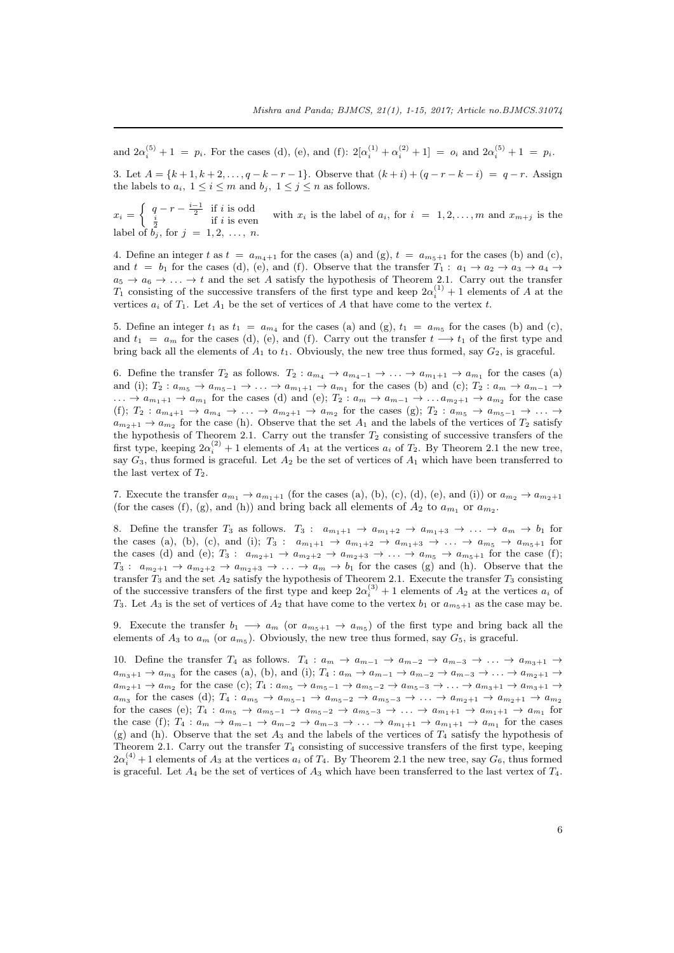and  $2\alpha_i^{(5)} + 1 = p_i$ . For the cases (d), (e), and (f):  $2[\alpha_i^{(1)} + \alpha_i^{(2)} + 1] = o_i$  and  $2\alpha_i^{(5)} + 1 = p_i$ .

3. Let  $A = \{k+1, k+2, \ldots, q-k-r-1\}$ . Observe that  $(k+i) + (q-r-k-i) = q-r$ . Assign the labels to  $a_i$ ,  $1 \leq i \leq m$  and  $b_j$ ,  $1 \leq j \leq n$  as follows.

 $x_i = \begin{cases} q-r - \frac{i-1}{2} & \text{if } i \text{ is odd} \\ \frac{i}{2} & \text{if } i \text{ is even} \end{cases}$  with  $x_i$  is the label of  $a_i$ , for  $i = 1, 2, ..., m$  and  $x_{m+j}$  is the label of  $b_j$ , for  $j = 1, 2, ..., n$ .

4. Define an integer t as  $t = a_{m_4+1}$  for the cases (a) and (g),  $t = a_{m_5+1}$  for the cases (b) and (c), and  $t = b_1$  for the cases (d), (e), and (f). Observe that the transfer  $T_1: a_1 \rightarrow a_2 \rightarrow a_3 \rightarrow a_4 \rightarrow a_5$  $a_5 \rightarrow a_6 \rightarrow \ldots \rightarrow t$  and the set *A* satisfy the hypothesis of Theorem 2.1. Carry out the transfer *T*<sub>1</sub> consisting of the successive transfers of the first type and keep  $2\alpha_i^{(1)} + 1$  elements of *A* at the vertices  $a_i$  of  $T_1$ . Let  $A_1$  be the set of vertices of  $A$  that have come to the vertex  $t$ .

5. Define an integer  $t_1$  as  $t_1 = a_{m_4}$  for the cases (a) and (g),  $t_1 = a_{m_5}$  for the cases (b) and (c), and  $t_1 = a_m$  for the cases (d), (e), and (f). Carry out the transfer  $t \rightarrow t_1$  of the first type and bring back all the elements of  $A_1$  to  $t_1$ . Obviously, the new tree thus formed, say  $G_2$ , is graceful.

6. Define the transfer  $T_2$  as follows.  $T_2: a_{m_4} \to a_{m_4-1} \to \ldots \to a_{m_1+1} \to a_{m_1}$  for the cases (a) and (i);  $T_2: a_{m_5} \to a_{m_5-1} \to \ldots \to a_{m_1+1} \to a_{m_1}$  for the cases (b) and (c);  $T_2: a_m \to a_{m-1} \to a_m$  $\ldots \to a_{m_1+1} \to a_{m_1}$  for the cases (d) and (e);  $T_2: a_m \to a_{m-1} \to \ldots a_{m_2+1} \to a_{m_2}$  for the case (f);  $T_2: a_{m_4+1} \to a_{m_4} \to \ldots \to a_{m_2+1} \to a_{m_2}$  for the cases (g);  $T_2: a_{m_5} \to a_{m_5-1} \to \ldots \to a_{m_5-1}$  $a_{m_2+1} \to a_{m_2}$  for the case (h). Observe that the set  $A_1$  and the labels of the vertices of  $T_2$  satisfy the hypothesis of Theorem 2.1. Carry out the transfer *T*<sup>2</sup> consisting of successive transfers of the first type, keeping  $2\alpha_i^{(2)} + 1$  elements of  $A_1$  at the vertices  $a_i$  of  $T_2$ . By Theorem 2.1 the new tree, say  $G_3$ , thus formed is graceful. Let  $A_2$  be the set of vertices of  $A_1$  which have been transferred to the last vertex of  $T_2$ .

7. Execute the transfer  $a_{m_1} \rightarrow a_{m_1+1}$  (for the cases (a), (b), (c), (d), (e), and (i)) or  $a_{m_2} \rightarrow a_{m_2+1}$ (for the cases (f), (g), and (h)) and bring back all elements of  $A_2$  to  $a_{m_1}$  or  $a_{m_2}$ [.](#page-3-0)

8. Define the transfer  $T_3$  as follows.  $T_3$ :  $a_{m_1+1} \rightarrow a_{m_1+2} \rightarrow a_{m_1+3} \rightarrow \ldots \rightarrow a_m \rightarrow b_1$  for the cases (a), (b), (c), and (i);  $T_3$ :  $a_{m_1+1} \to a_{m_1+2} \to a_{m_1+3} \to \ldots \to a_{m_5} \to a_{m_5+1}$  for the cases (d) and (e);  $T_3$ :  $a_{m_2+1} \rightarrow a_{m_2+2} \rightarrow a_{m_2+3} \rightarrow \ldots \rightarrow a_{m_5} \rightarrow a_{m_5+1}$  for the case (f);  $T_3: a_{m_2+1} \to a_{m_2+2} \to a_{m_2+3} \to \ldots \to a_m \to b_1$  for the cases (g) and (h). Observe that the transfer  $T_3$  and the set  $A_2$  satisfy the hypothesis of Theorem 2.1. Execute the transfer  $T_3$  consisting of the successive transfers of the first type and keep  $2\alpha_i^{(3)} + 1$  elements of  $A_2$  at the vertices  $a_i$  of *T*<sub>3</sub>. Let *A*<sub>3</sub> is the set of vertices of *A*<sub>2</sub> that have come to the vertex *b*<sub>1</sub> or  $a_{m_5+1}$  as the case may be.

9. Execute the transfer  $b_1 \longrightarrow a_m$  (or  $a_{m_5+1} \longrightarrow a_{m_5}$ ) of the first type and bring back all the elements of  $A_3$  to  $a_m$  (or  $a_{m_5}$ ). Obviously, the new tree thu[s fo](#page-3-0)rmed, say  $G_5$ , is graceful.

10. Define the transfer  $T_4$  as follows.  $T_4: a_m \to a_{m-1} \to a_{m-2} \to a_{m-3} \to \ldots \to a_{m_3+1} \to$  $a_{m_3+1} \rightarrow a_{m_3}$  for the cases (a), (b), and (i);  $T_4: a_m \rightarrow a_{m-1} \rightarrow a_{m-2} \rightarrow a_{m-3} \rightarrow \ldots \rightarrow a_{m_2+1} \rightarrow$  $a_{m_2+1} \to a_{m_2}$  for the case (c);  $T_4: a_{m_5} \to a_{m_5-1} \to a_{m_5-2} \to a_{m_5-3} \to \ldots \to a_{m_3+1} \to a_{m_3+1} \to a_{m_3+2}$  $a_{m_3}$  for the cases (d);  $T_4: a_{m_5} \to a_{m_5-1} \to a_{m_5-2} \to a_{m_5-3} \to \ldots \to a_{m_2+1} \to a_{m_2+1} \to a_{m_2}$ for the cases (e);  $T_4: a_{m_5} \to a_{m_5-1} \to a_{m_5-2} \to a_{m_5-3} \to \ldots \to a_{m_1+1} \to a_{m_1+1} \to a_{m_1}$  for the case (f);  $T_4: a_m \to a_{m-1} \to a_{m-2} \to a_{m-3} \to \ldots \to a_{m_1+1} \to a_{m_1+1} \to a_{m_1}$  for the cases (g) and (h). Observe that the set  $A_3$  and the labels of the vertices of  $T_4$  satisfy the hypothesis of Theorem 2.1. Carry out the transfer  $T_4$  consisting of successive transfers of the first type, keeping  $2\alpha_i^{(4)} + 1$  elements of  $A_3$  at the vertices  $a_i$  of  $T_4$ . By Theorem 2.1 the new tree, say  $G_6$ , thus formed is graceful. Let *A*<sup>4</sup> be the set of vertices of *A*<sup>3</sup> which have been transferred to the last vertex of *T*4.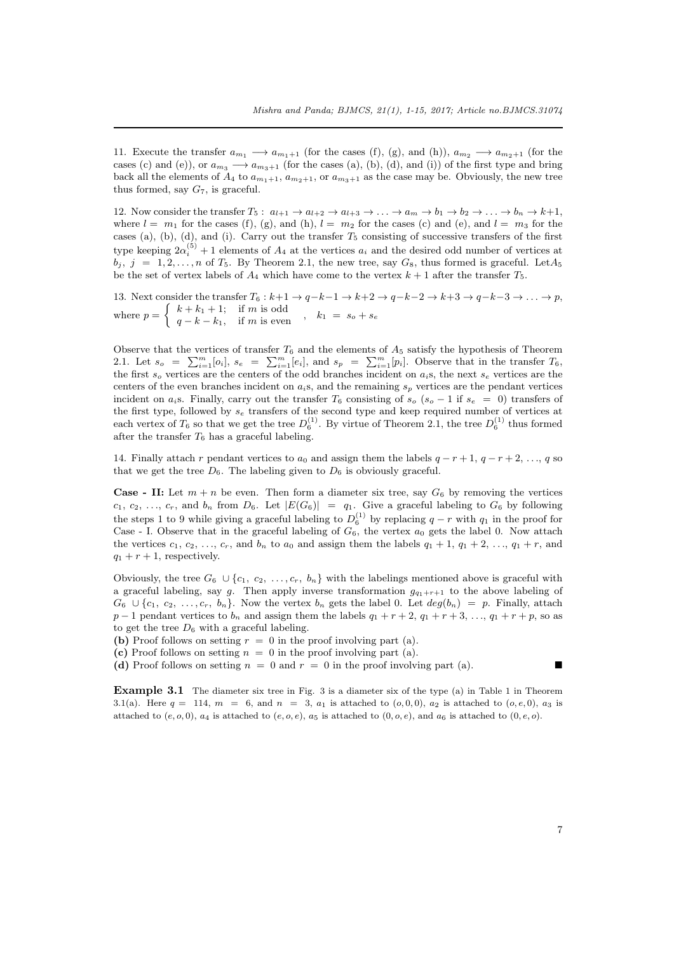11. Execute the transfer  $a_{m_1} \rightarrow a_{m_1+1}$  (for the cases (f), (g), and (h)),  $a_{m_2} \rightarrow a_{m_2+1}$  (for the cases (c) and (e)), or  $a_{m_3} \rightarrow a_{m_3+1}$  (for the cases (a), (b), (d), and (i)) of the first type and bring back all the elements of  $A_4$  to  $a_{m_1+1}$ ,  $a_{m_2+1}$ , or  $a_{m_3+1}$  as the case may be. Obviously, the new tree thus formed, say *G*7, is graceful.

12. Now consider the transfer  $T_5: a_{l+1} \to a_{l+2} \to a_{l+3} \to \ldots \to a_m \to b_1 \to b_2 \to \ldots \to b_n \to k+1$ , where  $l = m_1$  for the cases (f), (g), and (h),  $l = m_2$  for the cases (c) and (e), and  $l = m_3$  for the cases (a), (b), (d), and (i). Carry out the transfer *T*<sup>5</sup> consisting of successive transfers of the first type keeping  $2\alpha_i^{(5)} + 1$  elements of  $A_4$  at the vertices  $a_i$  and the desired odd number of vertices at  $b_j$ ,  $j = 1, 2, \ldots, n$  of  $T_5$ . By Theorem 2.1, the new tree, say  $G_8$ , thus formed is graceful. Let  $A_5$ be the set of vertex labels of  $A_4$  which have come to the vertex  $k + 1$  after the transfer  $T_5$ .

13. Next consider the transfer  $T_6: k+1 \to q-k-1 \to k+2 \to q-k-2 \to k+3 \to q-k-3 \to \ldots \to p$ , where  $p = \begin{cases} k + k_1 + 1; & \text{if } m \text{ is odd} \\ q - k - k_1, & \text{if } m \text{ is even} \end{cases}$  $p = \begin{cases} k + k_1 + 1; & \text{if } m \text{ is odd} \\ q - k - k_1, & \text{if } m \text{ is even} \end{cases}$  $p = \begin{cases} k + k_1 + 1; & \text{if } m \text{ is odd} \\ q - k - k_1, & \text{if } m \text{ is even} \end{cases}$ ,  $k_1 = s_o + s_e$ 

Observe that the vertices of transfer  $T_6$  and the elements of  $A_5$  satisfy the hypothesis of Theorem 2.1. Let  $s_o = \sum_{i=1}^{m} [o_i], s_e = \sum_{i=1}^{m} [e_i],$  and  $s_p = \sum_{i=1}^{m} [p_i].$  Observe that in the transfer  $T_6$ , the first  $s_o$  vertices are the centers of the odd branches incident on  $a_i$ s, the next  $s_e$  vertices are the centers of the even branches incident on *ai*s, and the remaining *s<sup>p</sup>* vertices are the pendant vertices incident on  $a_i$ s. Finally, carry out the transfer  $T_6$  consisting of  $s_o$  ( $s_o$  – 1 if  $s_e$  = 0) transfers of the first type, followed by *s<sup>e</sup>* transfers of the second type and keep required number of vertices at [eac](#page-3-0)h vertex of  $T_6$  so that we get the tree  $D_6^{(1)}$ . By virtue of Theorem 2.1, the tree  $D_6^{(1)}$  thus formed after the transfer *T*<sup>6</sup> has a graceful labeling.

14. Finally attach *r* pendant vertices to  $a_0$  and assign them the labels  $q - r + 1$ ,  $q - r + 2$ , ...,  $q$  so that we get the tree  $D_6$ . The labeling given to  $D_6$  is obviously graceful.

**Case - II:** Let  $m + n$  be even. Then form a diameter six tree, say  $G_6$  by removing the vertices  $c_1, c_2, \ldots, c_r$ , and  $b_n$  from  $D_6$ . Let  $|E(G_6)| = q_1$ . Give a graceful labeling to  $G_6$  by following the steps 1 to 9 while giving a graceful labeling to  $D_6^{(1)}$  by replacing  $q-r$  with  $q_1$  in the proof for Case - I. Observe that in the graceful labeling of  $G_6$ , the vertex  $a_0$  gets the label 0. Now attach the vertices  $c_1, c_2, \ldots, c_r$ , and  $b_n$  to  $a_0$  and assign them the labels  $q_1 + 1, q_1 + 2, \ldots, q_1 + r$ , and  $q_1 + r + 1$ , respectively.

Obviously, the tree  $G_6 \cup \{c_1, c_2, \ldots, c_r, b_n\}$  with the labelings mentioned above is graceful with a graceful labeling, say *g*. Then apply inverse transformation  $g_{q_1+r+1}$  to the above labeling of  $G_6 \cup \{c_1, c_2, \ldots, c_r, b_n\}$ . Now the vertex  $b_n$  gets the label 0. Let  $deg(b_n) = p$ . Finally, attach *p* − 1 pendant vertices to *b<sub>n</sub>* and assign them the labels  $q_1 + r + 2$ ,  $q_1 + r + 3$ , ...,  $q_1 + r + p$ , so as to get the tree  $D_6$  with a graceful labeling.

- **(b)** Proof follows on setting  $r = 0$  in the proof involving part (a).
- (c) Proof follows on setting  $n = 0$  in the proof involving part (a).

(d) Proof follows on setting  $n = 0$  and  $r = 0$  in the proof involving part (a).

**Example 3.1** The diameter six tree in Fig. 3 is a diameter six of the type (a) in Table 1 in Theorem 3.1(a). Here  $q = 114$ ,  $m = 6$ , and  $n = 3$ ,  $a_1$  is attached to  $(o, 0, 0)$ ,  $a_2$  is attached to  $(o, e, 0)$ ,  $a_3$  is attached to  $(e, o, 0)$ ,  $a_4$  is attached to  $(e, o, e)$ ,  $a_5$  is attached to  $(0, o, e)$ , and  $a_6$  is attached to  $(0, e, o)$ .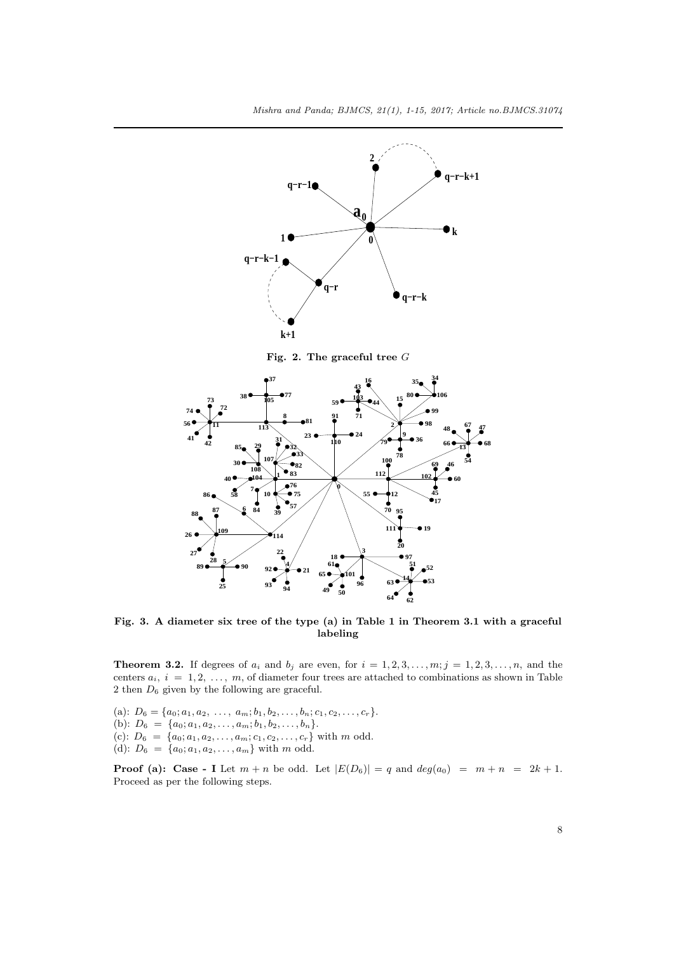

**Fig. 3. A diameter six tree of the type (a) in Table 1 in Theorem 3.1 with a graceful labeling**

**Theorem 3.2.** If degrees of  $a_i$  and  $b_j$  are even, for  $i = 1, 2, 3, \ldots, m; j = 1, 2, 3, \ldots, n$ , and the centers  $a_i$ ,  $i = 1, 2, ..., m$ , of diameter four trees are attached to combinati[ons](#page-4-0) as shown in Table then  $D_6$  given by the following are graceful.

<span id="page-7-0"></span>(a):  $D_6 = \{a_0; a_1, a_2, \ldots, a_m; b_1, b_2, \ldots, b_n; c_1, c_2, \ldots, c_r\}.$ (b):  $D_6 = \{a_0; a_1, a_2, \ldots, a_m; b_1, b_2, \ldots, b_n\}.$ (c):  $D_6 = \{a_0; a_1, a_2, \ldots, a_m; c_1, c_2, \ldots, c_r\}$  with *m* odd. (d):  $D_6 = \{a_0; a_1, a_2, \ldots, a_m\}$  with *m* odd.

**Proof (a): Case - I** Let  $m + n$  be odd. Let  $|E(D_6)| = q$  and  $deg(a_0) = m + n = 2k + 1$ . Proceed as per the following steps.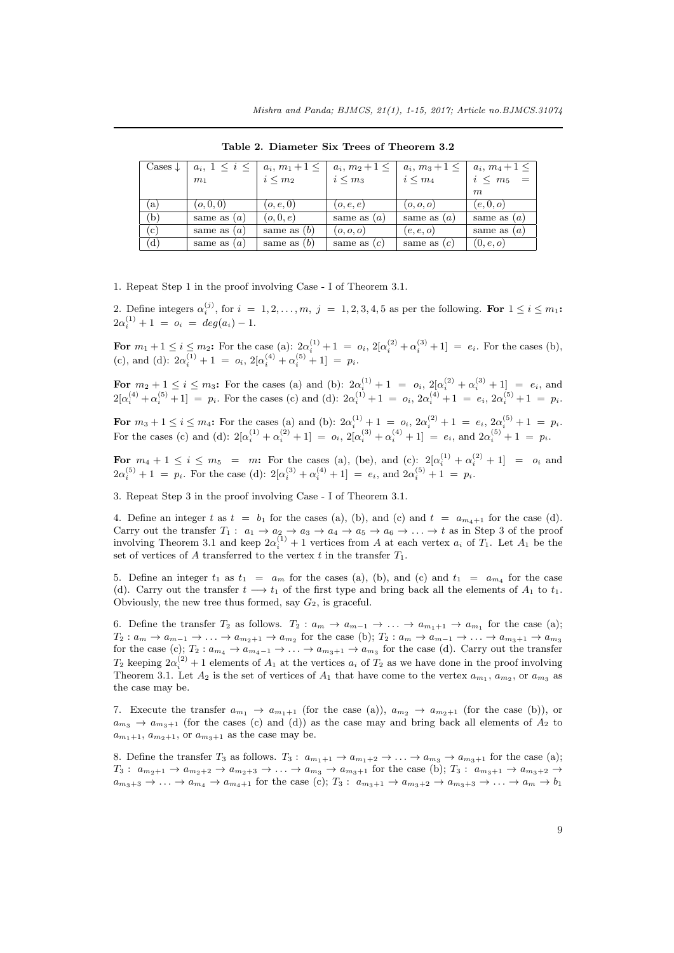| Cases $\downarrow$ | $a_i, 1 \leq i \leq$ | $a_i, m_1+1 \leq$ | $a_i, m_2+1 \leq$ | $a_i, m_3+1 \leq$ | $a_i, m_4 + 1 \leq$ |
|--------------------|----------------------|-------------------|-------------------|-------------------|---------------------|
|                    | m <sub>1</sub>       | $i \leq m_2$      | $i \leq m_3$      | $i \leq m_4$      | $i \leq m_5 =$      |
|                    |                      |                   |                   |                   | m                   |
| a)                 | (o, 0, 0)            | (o,e,0)           | (o, e, e)         | (o, o, o)         | (e, 0, o)           |
| (b)                | same as $(a)$        | (o, 0, e)         | same as $(a)$     | same as $(a)$     | same as $(a)$       |
| $\rm(c)$           | same as $(a)$        | same as $(b)$     | (o, o, o)         | (e, e, o)         | same as $(a)$       |
| (d)                | same as $(a)$        | same as $(b)$     | same as $(c)$     | same as $(c)$     | (0, e, o)           |

**Table 2. Diameter Six Trees of Theorem 3.2**

1. Repeat Step 1 in the proof involving Case - I of Theorem 3.1.

2. Define integers  $\alpha_i^{(j)}$ , for  $i = 1, 2, \ldots, m$ ,  $j = 1, 2, 3, 4, 5$  as per the following. For  $1 \le i \le m_1$ :  $2\alpha_i^{(1)} + 1 = o_i = deg(a_i) - 1.$ 

For  $m_1 + 1 \le i \le m_2$ : For the case (a):  $2\alpha_i^{(1)} + 1 = o_i$ ,  $2[\alpha_i^{(2)} + \alpha_i^{(3)} + 1] = e_i$  $2[\alpha_i^{(2)} + \alpha_i^{(3)} + 1] = e_i$  $2[\alpha_i^{(2)} + \alpha_i^{(3)} + 1] = e_i$ . For the cases (b), (c), and (d):  $2\alpha_i^{(1)} + 1 = o_i$ ,  $2[\alpha_i^{(4)} + \alpha_i^{(5)} + 1] = p_i$ .

For  $m_2 + 1 \le i \le m_3$ : For the cases (a) and (b):  $2\alpha_i^{(1)} + 1 = o_i$ ,  $2[\alpha_i^{(2)} + \alpha_i^{(3)} + 1] = e_i$ , and  $2[\alpha_i^{(4)} + \alpha_i^{(5)} + 1] = p_i$ . For the cases (c) and (d):  $2\alpha_i^{(1)} + 1 = o_i$ ,  $2\alpha_i^{(4)} + 1 = e_i$ ,  $2\alpha_i^{(5)} + 1 = p_i$ .

For  $m_3 + 1 \le i \le m_4$ : For the cases (a) and (b):  $2\alpha_i^{(1)} + 1 = o_i$ ,  $2\alpha_i^{(2)} + 1 = e_i$ ,  $2\alpha_i^{(5)} + 1 = p_i$ . For the cases (c) and (d):  $2[\alpha_i^{(1)} + \alpha_i^{(2)} + 1] = o_i$ ,  $2[\alpha_i^{(3)} + \alpha_i^{(4)} + 1] = e_i$ , and  $2\alpha_i^{(5)} + 1 = p_i$ .

For  $m_4 + 1 \le i \le m_5 = m$ : For the cases (a), (be), and (c):  $2[\alpha_i^{(1)} + \alpha_i^{(2)} + 1] = o_i$  and  $2\alpha_i^{(5)} + 1 = p_i$ . For the case (d):  $2[\alpha_i^{(3)} + \alpha_i^{(4)} + 1] = e_i$ , and  $2\alpha_i^{(5)} + 1 = p_i$ .

3. Repeat Step 3 in the proof involving Case - I of Theorem 3.1.

4. Define an integer t as  $t = b_1$  for the cases (a), (b), and (c) and  $t = a_{m_4+1}$  for the case (d). Carry out the transfer  $T_1: a_1 \to a_2 \to a_3 \to a_4 \to a_5 \to a_6 \to \ldots \to t$  as in Step 3 of the proof involving Theorem 3.1 and keep  $2\alpha_i^{(1)} + 1$  vertices from *A* at each vertex  $a_i$  of  $T_1$ . Let  $A_1$  be the set of vertices of  $A$  transferred to the vertex  $t$  in the transfer  $T_1$  $T_1$ .

5. Define an integer  $t_1$  as  $t_1 = a_m$  for the cases (a), (b), and (c) and  $t_1 = a_{m_4}$  for the case (d). Carry out the transfer  $t \rightarrow t_1$  of the first type and bring back all the elements of  $A_1$  to  $t_1$ . Obviously, the new [tre](#page-4-0)e thus formed, say *G*2, is graceful.

6. Define the transfer  $T_2$  as follows.  $T_2: a_m \to a_{m-1} \to \ldots \to a_{m_1+1} \to a_{m_1}$  for the case (a);  $T_2: a_m \to a_{m-1} \to \ldots \to a_{m_2+1} \to a_{m_2}$  for the case (b);  $T_2: a_m \to a_{m-1} \to \ldots \to a_{m_3+1} \to a_{m_3}$ for the case (c);  $T_2: a_{m_4} \to a_{m_4-1} \to \ldots \to a_{m_3+1} \to a_{m_3}$  for the case (d). Carry out the transfer  $T_2$  keeping  $2\alpha_i^{(2)} + 1$  elements of  $A_1$  at the vertices  $a_i$  of  $T_2$  as we have done in the proof involving Theorem 3.1. Let  $A_2$  is the set of vertices of  $A_1$  that have come to the vertex  $a_{m_1}, a_{m_2}$ , or  $a_{m_3}$  as the case may be.

7. Execute the transfer  $a_{m_1} \rightarrow a_{m_1+1}$  (for the case (a)),  $a_{m_2} \rightarrow a_{m_2+1}$  (for the case (b)), or  $a_{m_3} \rightarrow a_{m_3+1}$  (for the cases (c) and (d)) as the case may and bring back all elements of  $A_2$  to  $a_{m_1+1}, a_{m_2+1}, \text{ or } a_{m_3+1} \text{ as the case may be.}$  $a_{m_1+1}, a_{m_2+1}, \text{ or } a_{m_3+1} \text{ as the case may be.}$  $a_{m_1+1}, a_{m_2+1}, \text{ or } a_{m_3+1} \text{ as the case may be.}$ 

8. Define the transfer  $T_3$  as follows.  $T_3$ :  $a_{m_1+1} \to a_{m_1+2} \to \ldots \to a_{m_3} \to a_{m_3+1}$  for the case (a);  $T_3: a_{m_2+1} \to a_{m_2+2} \to a_{m_2+3} \to \ldots \to a_{m_3} \to a_{m_3+1}$  for the case (b);  $T_3: a_{m_3+1} \to a_{m_3+2} \to a_{m_3+3}$  $a_{m_3+3} \to \ldots \to a_{m_4} \to a_{m_4+1}$  for the case (c);  $T_3: a_{m_3+1} \to a_{m_3+2} \to a_{m_3+3} \to \ldots \to a_m \to b_1$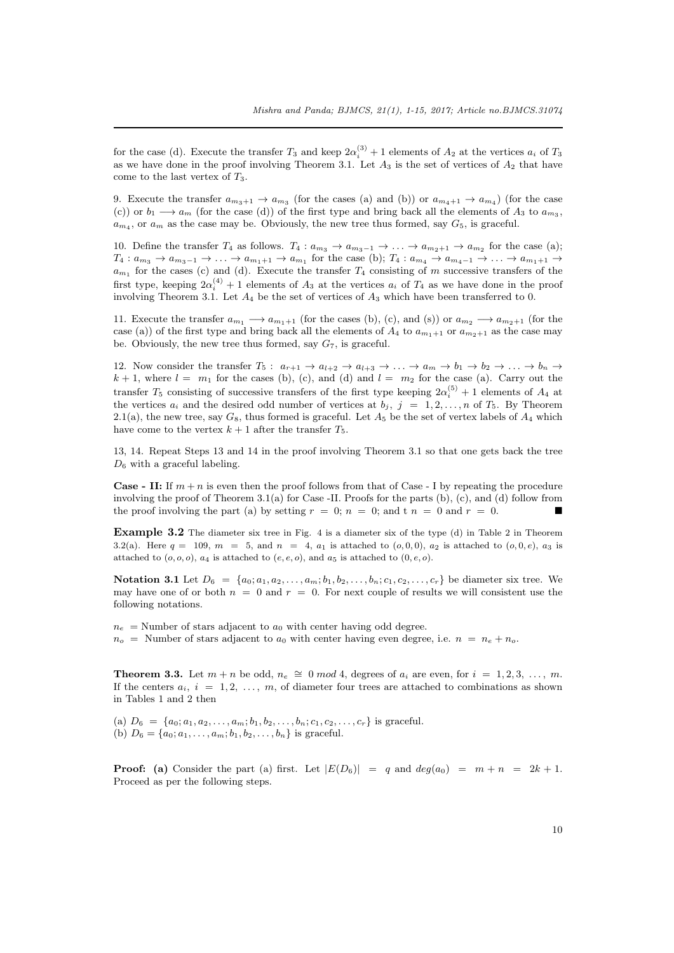for the case (d). Execute the transfer  $T_3$  and keep  $2\alpha_i^{(3)} + 1$  elements of  $A_2$  at the vertices  $a_i$  of  $T_3$ as we have done in the proof involving Theorem 3.1. Let  $A_3$  is the set of vertices of  $A_2$  that have come to the last vertex of *T*3.

9. Execute the transfer  $a_{m_3+1} \rightarrow a_{m_3}$  (for the cases (a) and (b)) or  $a_{m_4+1} \rightarrow a_{m_4}$ ) (for the case (c)) or  $b_1 \longrightarrow a_m$  (for the case (d)) of the first type and bring back all the elements of  $A_3$  to  $a_{m_3}$ ,  $a_{m_4}$ , or  $a_m$  as the case may be. Obviously, the n[ew t](#page-4-0)ree thus formed, say  $G_5$ , is graceful.

10. Define the transfer  $T_4$  as follows.  $T_4: a_{m_3} \to a_{m_3-1} \to \ldots \to a_{m_2+1} \to a_{m_2}$  for the case (a);  $T_4: a_{m_3}\to a_{m_3-1}\to\ldots\to a_{m_1+1}\to a_{m_1}$  for the case (b);  $T_4: a_{m_4}\to a_{m_4-1}\to\ldots\to a_{m_1+1}\to a_{m_1+1}$ *a<sup>m</sup>*<sup>1</sup> for the cases (c) and (d). Execute the transfer *T*<sup>4</sup> consisting of *m* successive transfers of the first type, keeping  $2\alpha_i^{(4)} + 1$  elements of  $A_3$  at the vertices  $a_i$  of  $T_4$  as we have done in the proof involving Theorem 3.1. Let *A*<sup>4</sup> be the set of vertices of *A*<sup>3</sup> which have been transferred to 0.

11. Execute the transfer  $a_{m_1} \rightarrow a_{m_1+1}$  (for the cases (b), (c), and (s)) or  $a_{m_2} \rightarrow a_{m_2+1}$  (for the case (a)) of the first type and bring back all the elements of  $A_4$  to  $a_{m_1+1}$  or  $a_{m_2+1}$  as the case may be. Obviously, the new tree thus formed, say *G*7, is graceful.

12. Now consider the transfer  $T_5: a_{r+1} \to a_{l+2} \to a_{l+3} \to \ldots \to a_m \to b_1 \to b_2 \to \ldots \to b_n \to$  $k+1$ , where  $l = m_1$  for the cases (b), (c), and (d) and  $l = m_2$  for the case (a). Carry out the transfer  $T_5$  consisting of successive transfers of the first type keeping  $2\alpha_i^{(5)} + 1$  elements of  $A_4$  at the vertices  $a_i$  and the desired odd number of vertices at  $b_j$ ,  $j = 1, 2, \ldots, n$  of  $T_5$ . By Theorem 2.1(a), the new tree, say  $G_8$ , thus formed is graceful. Let  $A_5$  be the set of vertex labels of  $A_4$  which have come to the vertex  $k + 1$  after the transfer  $T_5$ .

13, 14. Repeat Steps 13 and 14 in the proof involving Theorem 3.1 so that one gets back the tree *D*<sup>6</sup> with a graceful labeling.

**Case - II:** If  $m + n$  is even then the proof follows from that of Case - I by repeating the procedure involving the proof of Theorem 3.1(a) for Case -II. Proofs for the parts (b), (c), and (d) follow from the proof i[n](#page-4-0)volving the part (a) by setting  $r = 0$ ;  $n = 0$ ; and  $t n = 0$  and  $r = 0$ .

**Example 3.2** The diameter six tree in Fig. 4 is a diameter six of the type (d) in Table 2 in Theorem 3.2(a). Here  $q = 109$ ,  $m = 5$ , and  $n = 4$ ,  $a_1$  is attached to  $(o, 0, 0)$ ,  $a_2$  is attached to  $(o, 0, e)$ ,  $a_3$  is attache[d to](#page-4-0)  $(o, o, o)$ ,  $a_4$  is attached to  $(e, e, o)$ , and  $a_5$  is attached to  $(0, e, o)$ .

**Notation 3.1** Let  $D_6 = \{a_0; a_1, a_2, \ldots, a_m; b_1, b_2, \ldots, b_n; c_1, c_2, \ldots, c_r\}$  be diameter six tree. We may have one of or both  $n = 0$  and  $r = 0$ . For next couple of results we will consistent use the [foll](#page-7-0)owing notations.

 $n_e$  = Number of stars adjacent to  $a_0$  with center having odd degree.  $n_o$  = Number of stars adjacent to  $a_0$  with center having even degree, i.e.  $n = n_e + n_o$ .

**Theorem 3.3.** Let  $m + n$  be odd,  $n_e \cong 0 \mod 4$ , degrees of  $a_i$  are even, for  $i = 1, 2, 3, \ldots, m$ . If the centers  $a_i$ ,  $i = 1, 2, \ldots, m$ , of diameter four trees are attached to combinations as shown in Tables 1 and 2 then

(a)  $D_6 = \{a_0; a_1, a_2, \ldots, a_m; b_1, b_2, \ldots, b_n; c_1, c_2, \ldots, c_r\}$  is graceful. (b)  $D_6 = \{a_0; a_1, \ldots, a_m; b_1, b_2, \ldots, b_n\}$  is graceful.

**Proof:** (a) Consider the part (a) first. Let  $|E(D_6)| = q$  and  $deg(a_0) = m + n = 2k + 1$ . Proceed as per the following steps.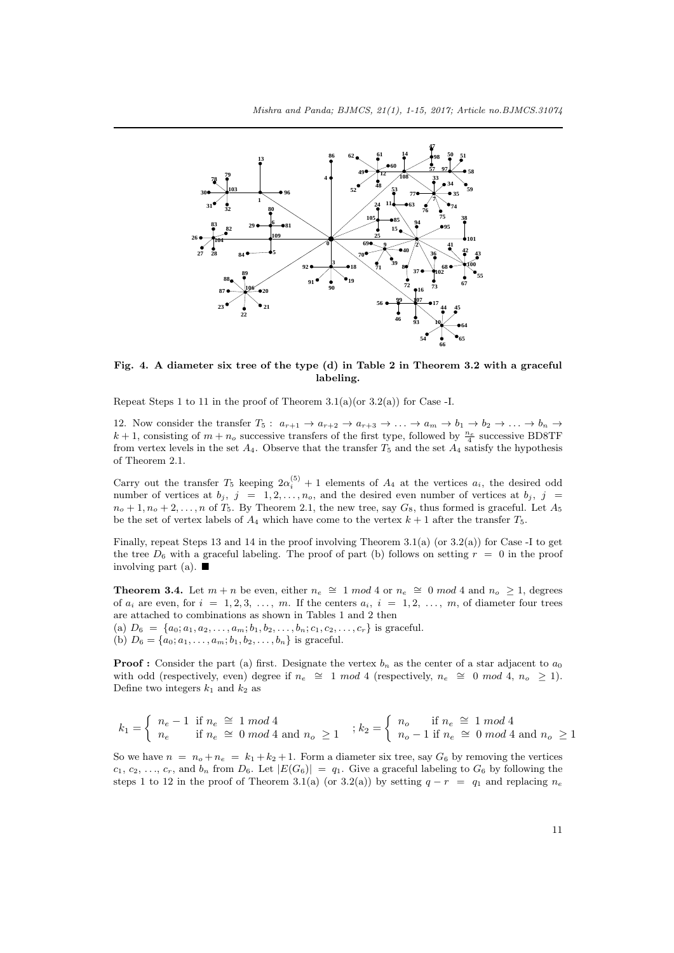

**Fig. 4. A diameter six tree of the type (d) in Table 2 in Theorem 3.2 with a graceful labeling.**

Repeat Steps 1 to 11 in the proof of Theorem  $3.1(a)(or 3.2(a))$  for Case -I.

12. Now consider the transfer  $T_5: a_{r+1} \to a_{r+2} \to a_{r+3} \to \ldots \to a_m \to b_1 \to b_2 \to \ldots \to b_n \to a_1$  $k+1$ , consisting of  $m+n_o$  successive transfers of the first type, followed by  $\frac{n_e}{4}$  successive BD8TF from vertex levels in the set  $A_4$ . Observe that the transfer  $T_5$  and the set  $A_4$  satisfy the hypothesis of Theorem 2.1.

Carry out the transfer  $T_5$  keeping  $2\alpha_i^{(5)} + 1$  elements of  $A_4$  at the vertices  $a_i$ , the desired odd number of vertices at  $b_j$ ,  $j = 1, 2, \ldots, n_o$ , and the desired even number of vertices at  $b_j$ ,  $j =$  $n_o + 1, n_o + 2, \ldots, n$  of *T*<sub>5</sub>. By Theorem 2.1, the new tree, say  $G_8$ , thus formed is graceful. Let  $A_5$ be the set o[f ve](#page-3-0)rtex labels of  $A_4$  which have come to the vertex  $k+1$  after the transfer  $T_5$ .

Finally, repeat Steps 13 and 14 in the proof involving Theorem 3.1(a) (or  $3.2(a)$ ) for Case -I to get the tree  $D_6$  with a graceful labeling. The proof of part (b) follows on setting  $r = 0$  in the proof involving part (a).  $\blacksquare$ 

**Theorem 3.4.** Let  $m + n$  be even, either  $n_e \cong 1 \mod 4$  or  $n_e \cong 0 \mod 4$  and  $n_o \geq 1$ , degrees of  $a_i$  are even, for  $i = 1, 2, 3, \ldots, m$  $i = 1, 2, 3, \ldots, m$  $i = 1, 2, 3, \ldots, m$ . If the centers  $a_i$ ,  $i = 1, 2, \ldots, m$ [, o](#page-7-0)f diameter four trees are attached to combinations as shown in Tables 1 and 2 then (a)  $D_6 = \{a_0; a_1, a_2, \ldots, a_m; b_1, b_2, \ldots, b_n; c_1, c_2, \ldots, c_r\}$  is graceful.

(b)  $D_6 = \{a_0; a_1, \ldots, a_m; b_1, b_2, \ldots, b_n\}$  is graceful.

**Proof :** Consider the part (a) first. Designate the vertex  $b_n$  as the center of a star adjacent to  $a_0$ with odd (respectively, even) degree if  $n_e \cong 1 \mod 4$  (respectively,  $n_e \cong 0 \mod 4$ ,  $n_o \geq 1$ ). Define two integers  $k_1$  and  $k_2$  as

$$
k_1 = \begin{cases} n_e - 1 & \text{if } n_e \cong 1 \mod 4 \\ n_e & \text{if } n_e \cong 0 \mod 4 \text{ and } n_o \ge 1 \end{cases} ; k_2 = \begin{cases} n_o & \text{if } n_e \cong 1 \mod 4 \\ n_o - 1 & \text{if } n_e \cong 0 \mod 4 \text{ and } n_o \ge 1 \end{cases}
$$

So we have  $n = n_o + n_e = k_1 + k_2 + 1$ . Form a diameter six tree, say  $G_6$  by removing the vertices  $c_1, c_2, \ldots, c_r$ , and  $b_n$  from  $D_6$ . Let  $|E(G_6)| = q_1$ . Give a graceful labeling to  $G_6$  by following the steps 1 to 12 in the proof of Theorem 3.1(a) (or 3.2(a)) by setting  $q - r = q_1$  and replacing  $n_e$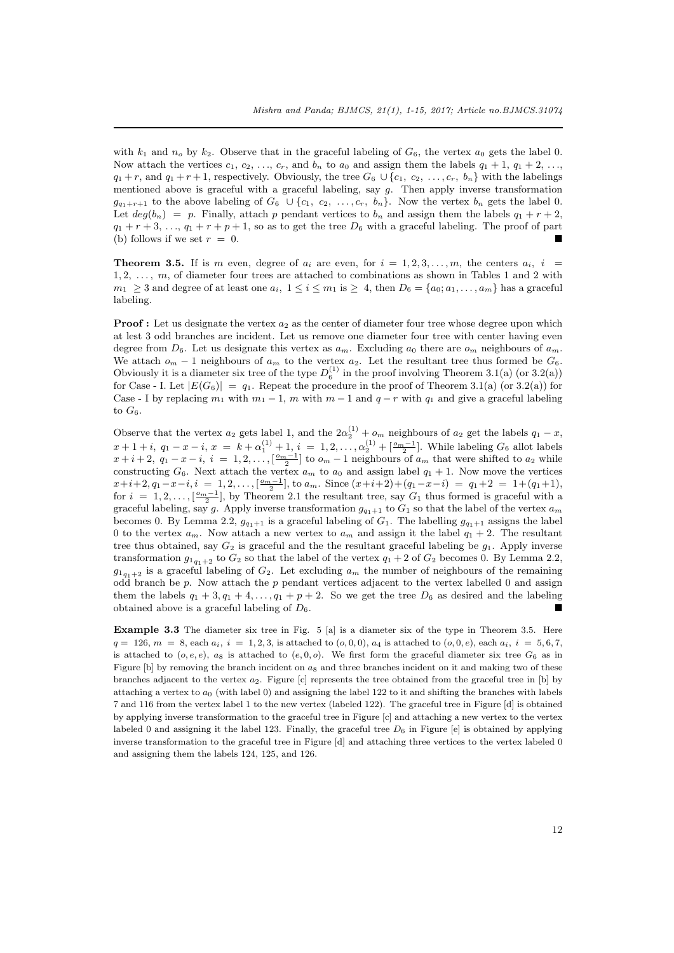with  $k_1$  and  $n_0$  by  $k_2$ . Observe that in the graceful labeling of  $G_6$ , the vertex  $a_0$  gets the label 0. Now attach the vertices  $c_1, c_2, \ldots, c_r$ , and  $b_n$  to  $a_0$  and assign them the labels  $q_1 + 1, q_1 + 2, \ldots$ ,  $q_1 + r$ , and  $q_1 + r + 1$ , respectively. Obviously, the tree  $G_6 \cup \{c_1, c_2, \ldots, c_r, b_n\}$  with the labelings mentioned above is graceful with a graceful labeling, say *g*. Then apply inverse transformation  $g_{q_1+r+1}$  to the above labeling of  $G_6 \cup \{c_1, c_2, \ldots, c_r, b_n\}$ . Now the vertex  $b_n$  gets the label 0. Let  $deg(b_n) = p$ . Finally, attach p pendant vertices to  $b_n$  and assign them the labels  $q_1 + r + 2$ ,  $q_1 + r + 3, \ldots, q_1 + r + p + 1$ , so as to get the tree  $D_6$  with a graceful labeling. The proof of part (b) follows if we set  $r = 0$ .

**Theorem 3.5.** If is *m* even, degree of  $a_i$  are even, for  $i = 1, 2, 3, \ldots, m$ , the centers  $a_i$ ,  $i =$ 1*,* 2*, . . . , m*, of diameter four trees are attached to combinations as shown in Tables 1 and 2 with *m*<sub>1</sub> ≥ 3 and degree of at least one  $a_i$ ,  $1 \le i \le m_1$  is ≥ 4, then  $D_6 = \{a_0; a_1, \ldots, a_m\}$  has a graceful labeling.

<span id="page-11-0"></span>**Proof :** Let us designate the vertex  $a_2$  as the center of diameter four tree whose degree upon which at lest 3 odd branches are incident. Let us remove one diameter four tree with center having even degree from  $D_6$ . Let us designate this vertex as  $a_m$ . Excluding  $a_0$  there are  $o_m$  neighbours of  $a_m$ . We attach  $o_m - 1$  neighbours of  $a_m$  to the vertex  $a_2$ . Let the resultant tree thus formed be  $G_6$ . Obviously it is a diameter six tree of the type  $D_6^{(1)}$  in the proof involving Theorem 3.1(a) (or 3.2(a)) for Case - I. Let  $|E(G_6)| = q_1$ . Repeat the procedure in the proof of Theorem 3.1(a) (or 3.2(a)) for Case - I by replacing  $m_1$  with  $m_1 - 1$ ,  $m$  with  $m - 1$  and  $q - r$  with  $q_1$  and give a graceful labeling to  $G_6$ .

Observe that [the](#page-4-0) vertex  $a_2$  gets label 1, and the  $2\alpha_2^{(1)} + o_m$  neighbours of  $a_2$  get the labels  $q_1 - x$  $q_1 - x$ ,  $x+1+i$ ,  $q_1-x-i$ ,  $x = k+\alpha_1^{(1)}+1$ ,  $i = 1, 2, ..., \alpha_2^{(1)} + \lfloor \frac{\alpha_m-1}{2} \rfloor$ . While la[belin](#page-4-0)g  $G_6$  [allot](#page-7-0) labels  $x+i+2$ ,  $q_1-x-i$ ,  $i = 1,2,..., \left[\frac{\sigma_m-1}{2}\right]$  to  $o_m-1$  neighbours of  $a_m$  that were shifted to  $a_2$  while constructing  $G_6$ . Next attach the vertex  $a_m$  to  $a_0$  and assign label  $q_1 + 1$ . Now move the vertices  $x+i+2, q_1-x-i, i = 1, 2, \ldots, \lfloor \frac{m-1}{2} \rfloor$ , to  $a_m$ . Since  $(x+i+2)+(q_1-x-i) = q_1+2 = 1+(q_1+1)$ , for  $i = 1, 2, \ldots, \lceil \frac{0m-1}{2} \rceil$ , by Theorem 2.1 the resultant tree, say  $G_1$  thus formed is graceful with a graceful labeling, say *g*. Apply inverse transformation  $g_{q_1+1}$  to  $G_1$  so that the label of the vertex  $a_m$ becomes 0. By Lemma 2.2,  $g_{q_1+1}$  is a graceful labeling of  $G_1$ . The labelling  $g_{q_1+1}$  assigns the label 0 to the vertex  $a_m$ . Now attach a new vertex to  $a_m$  and assign it the label  $q_1 + 2$ . The resultant tree thus obtained, say  $G_2$  is graceful and the the resultant graceful labeling be  $g_1$ . Apply inverse transformation  $g_{1q_1+2}$  to  $G_2$  so that t[he la](#page-3-0)bel of the vertex  $q_1 + 2$  of  $G_2$  becomes 0. By Lemma 2.2,  $g_{1q_1+2}$  is a graceful labeling of  $G_2$ . Let excluding  $a_m$  the number of neighbours of the remaining odd branch be *p*. Now [att](#page-3-1)ach the *p* pendant vertices adjacent to the vertex labelled 0 and assign them the labels  $q_1 + 3, q_1 + 4, \ldots, q_1 + p + 2$ . So we get the tree  $D_6$  as desired and the labeling obtained above is a graceful labeling of *D*6.

**Example 3.3** The diameter six tree in Fig. 5 [a] is a diameter six of the type in Theorem 3.5. Here  $q = 126$ ,  $m = 8$ , each  $a_i$ ,  $i = 1, 2, 3$ , is attached to  $(o, 0, 0)$ ,  $a_4$  is attached to  $(o, 0, e)$ , each  $a_i$ ,  $i = 5, 6, 7$ , is attached to  $(o, e, e)$ ,  $a_8$  is attached to  $(e, 0, o)$ . We first form the graceful diameter six tree  $G_6$  as in Figure [b] by removing the branch incident on  $a_8$  and three branches incident on it and making two of these branches adjacent to the vertex *a*2. Figure [c] represents the tree obtained from the graceful tree in [b] by attaching a vertex to *a*<sup>0</sup> (with label 0) and assigning the label 122 to it and shifting the branches [with](#page-11-0) labels 7 and 116 from the vertex label 1 to the new vertex (labeled 122). The graceful tree in Figure [d] is obtained by applying inverse transformation to the graceful tree in Figure [c] and attaching a new vertex to the vertex labeled 0 and assigning it the label 123. Finally, the graceful tree  $D_6$  in Figure [e] is obtained by applying inverse transformation to the graceful tree in Figure [d] and attaching three vertices to the vertex labeled 0 and assigning them the labels 124, 125, and 126.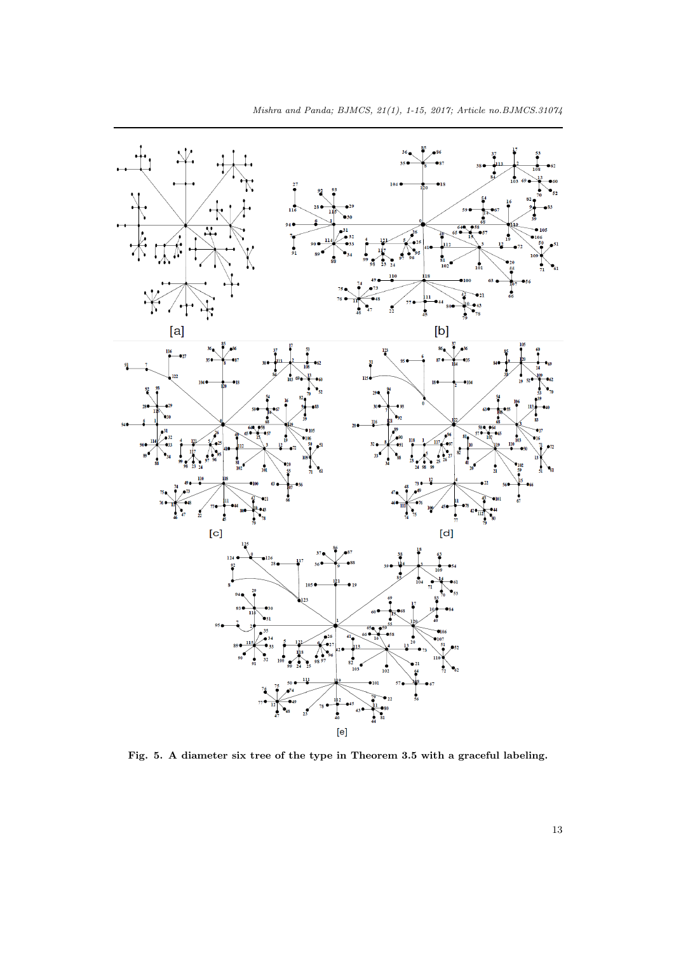

**Fig. 5. A diameter six tree of the type in Theorem 3.5 with a graceful labeling.**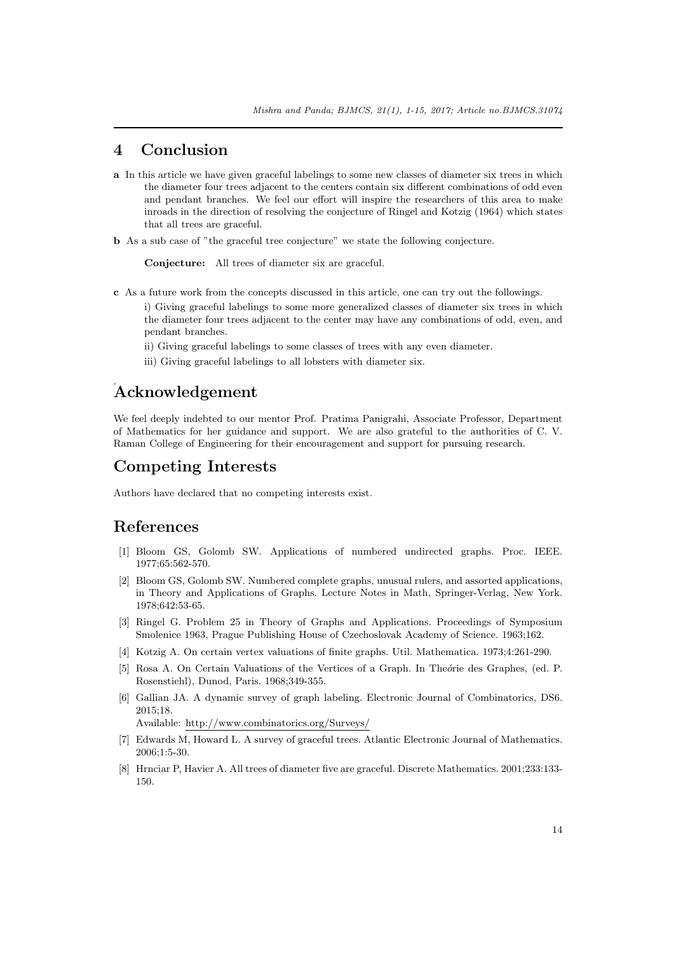#### **4 Conclusion**

- **a** In this article we have given graceful labelings to some new classes of diameter six trees in which the diameter four trees adjacent to the centers contain six different combinations of odd even and pendant branches. We feel our effort will inspire the researchers of this area to make inroads in the direction of resolving the conjecture of Ringel and Kotzig (1964) which states that all trees are graceful.
- **b** As a sub case of "the graceful tree conjecture" we state the following conjecture.

**Conjecture:** All trees of diameter six are graceful.

- **c** As a future work from the concepts discussed in this article, one can try out the followings.
	- i) Giving graceful labelings to some more generalized classes of diameter six trees in which the diameter four trees adjacent to the center may have any combinations of odd, even, and pendant branches.
		- ii) Giving graceful labelings to some classes of trees with any even diameter.
		- iii) Giving graceful labelings to all lobsters with diameter six.

# . **Acknowledgement**

We feel deeply indebted to our mentor Prof. Pratima Panigrahi, Associate Professor, Department of Mathematics for her guidance and support. We are also grateful to the authorities of C. V. Raman College of Engineering for their encouragement and support for pursuing research.

### **Competing Interests**

Authors have declared that no competing interests exist.

### **References**

- <span id="page-13-0"></span>[1] Bloom GS, Golomb SW. Applications of numbered undirected graphs. Proc. IEEE. 1977;65:562-570.
- <span id="page-13-1"></span>[2] Bloom GS, Golomb SW. Numbered complete graphs, unusual rulers, and assorted applications, in Theory and Applications of Graphs. Lecture Notes in Math, Springer-Verlag, New York. 1978;642:53-65.
- <span id="page-13-4"></span>[3] Ringel G. Problem 25 in Theory of Graphs and Applications. Proceedings of Symposium Smolenice 1963, Prague Publishing House of Czechoslovak Academy of Science. 1963;162.
- [4] Kotzig A. On certain vertex valuations of finite graphs. Util. Mathematica. 1973;4:261-290.
- <span id="page-13-3"></span>[5] Rosa A. On Certain Valuations of the Vertices of a Graph. In Theo*fie* des Graphes, (ed. P. Rosenstiehl), Dunod, Paris. 1968;349-355.
- <span id="page-13-2"></span>[6] Gallian JA. A dynamic survey of graph labeling. Electronic Journal of Combinatorics, DS6. 2015;18.

Available: http://www.combinatorics.org/Surveys/

- <span id="page-13-5"></span>[7] Edwards M, Howard L. A survey of graceful trees. Atlantic Electronic Journal of Mathematics. 2006;1:5-30.
- <span id="page-13-6"></span>[8] Hrnciar P, Havier A. All trees of diameter five are graceful. Discrete Mathematics. 2001;233:133- 150.